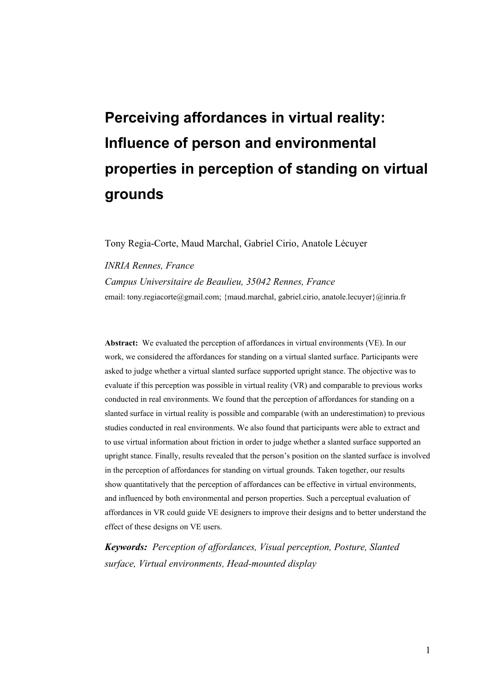# **Perceiving affordances in virtual reality: Influence of person and environmental properties in perception of standing on virtual grounds**

Tony Regia-Corte, Maud Marchal, Gabriel Cirio, Anatole Lécuyer

## *INRIA Rennes, France*

*Campus Universitaire de Beaulieu, 35042 Rennes, France*  email: tony.regiacorte@gmail.com; {maud.marchal, gabriel.cirio, anatole.lecuyer}@inria.fr

**Abstract:** We evaluated the perception of affordances in virtual environments (VE). In our work, we considered the affordances for standing on a virtual slanted surface. Participants were asked to judge whether a virtual slanted surface supported upright stance. The objective was to evaluate if this perception was possible in virtual reality (VR) and comparable to previous works conducted in real environments. We found that the perception of affordances for standing on a slanted surface in virtual reality is possible and comparable (with an underestimation) to previous studies conducted in real environments. We also found that participants were able to extract and to use virtual information about friction in order to judge whether a slanted surface supported an upright stance. Finally, results revealed that the person's position on the slanted surface is involved in the perception of affordances for standing on virtual grounds. Taken together, our results show quantitatively that the perception of affordances can be effective in virtual environments, and influenced by both environmental and person properties. Such a perceptual evaluation of affordances in VR could guide VE designers to improve their designs and to better understand the effect of these designs on VE users.

*Keywords: Perception of affordances, Visual perception, Posture, Slanted surface, Virtual environments, Head-mounted display*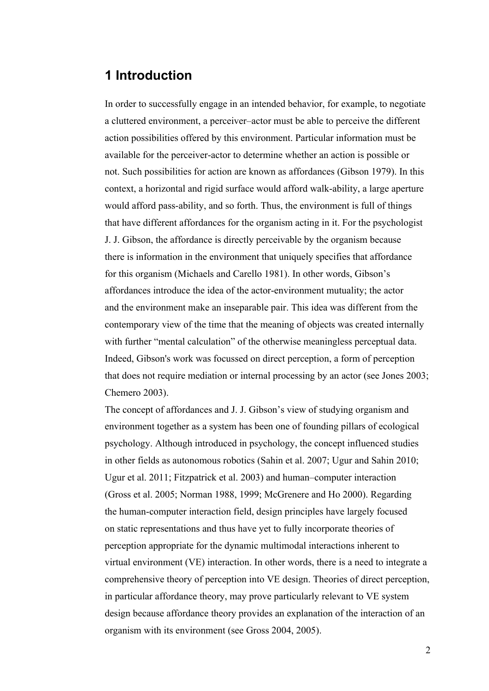# **1 Introduction**

In order to successfully engage in an intended behavior, for example, to negotiate a cluttered environment, a perceiver–actor must be able to perceive the different action possibilities offered by this environment. Particular information must be available for the perceiver-actor to determine whether an action is possible or not. Such possibilities for action are known as affordances (Gibson 1979). In this context, a horizontal and rigid surface would afford walk-ability, a large aperture would afford pass-ability, and so forth. Thus, the environment is full of things that have different affordances for the organism acting in it. For the psychologist J. J. Gibson, the affordance is directly perceivable by the organism because there is information in the environment that uniquely specifies that affordance for this organism (Michaels and Carello 1981). In other words, Gibson's affordances introduce the idea of the actor-environment mutuality; the actor and the environment make an inseparable pair. This idea was different from the contemporary view of the time that the meaning of objects was created internally with further "mental calculation" of the otherwise meaningless perceptual data. Indeed, Gibson's work was focussed on direct perception, a form of perception that does not require mediation or internal processing by an actor (see Jones 2003; Chemero 2003).

The concept of affordances and J. J. Gibson's view of studying organism and environment together as a system has been one of founding pillars of ecological psychology. Although introduced in psychology, the concept influenced studies in other fields as autonomous robotics (Sahin et al. 2007; Ugur and Sahin 2010; Ugur et al. 2011; Fitzpatrick et al. 2003) and human–computer interaction (Gross et al. 2005; Norman 1988, 1999; McGrenere and Ho 2000). Regarding the human-computer interaction field, design principles have largely focused on static representations and thus have yet to fully incorporate theories of perception appropriate for the dynamic multimodal interactions inherent to virtual environment (VE) interaction. In other words, there is a need to integrate a comprehensive theory of perception into VE design. Theories of direct perception, in particular affordance theory, may prove particularly relevant to VE system design because affordance theory provides an explanation of the interaction of an organism with its environment (see Gross 2004, 2005).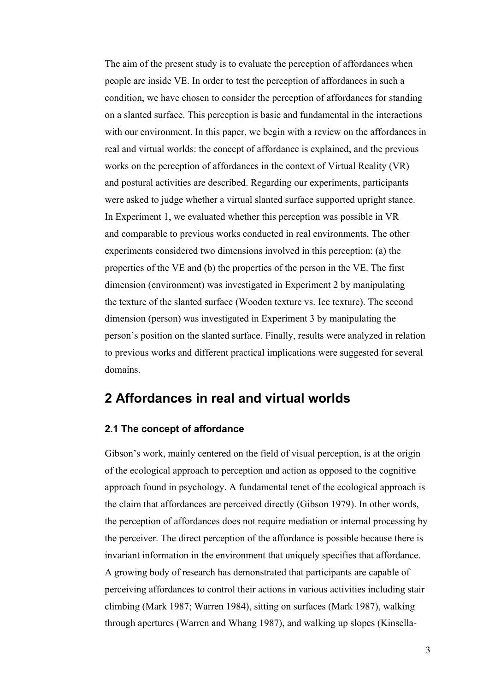The aim of the present study is to evaluate the perception of affordances when people are inside VE. In order to test the perception of affordances in such a condition, we have chosen to consider the perception of affordances for standing on a slanted surface. This perception is basic and fundamental in the interactions with our environment. In this paper, we begin with a review on the affordances in real and virtual worlds: the concept of affordance is explained, and the previous works on the perception of affordances in the context of Virtual Reality (VR) and postural activities are described. Regarding our experiments, participants were asked to judge whether a virtual slanted surface supported upright stance. In Experiment 1, we evaluated whether this perception was possible in VR and comparable to previous works conducted in real environments. The other experiments considered two dimensions involved in this perception: (a) the properties of the VE and (b) the properties of the person in the VE. The first dimension (environment) was investigated in Experiment 2 by manipulating the texture of the slanted surface (Wooden texture vs. Ice texture). The second dimension (person) was investigated in Experiment 3 by manipulating the person's position on the slanted surface. Finally, results were analyzed in relation to previous works and different practical implications were suggested for several domains.

# **2 Affordances in real and virtual worlds**

## **2.1 The concept of affordance**

Gibson's work, mainly centered on the field of visual perception, is at the origin of the ecological approach to perception and action as opposed to the cognitive approach found in psychology. A fundamental tenet of the ecological approach is the claim that affordances are perceived directly (Gibson 1979). In other words, the perception of affordances does not require mediation or internal processing by the perceiver. The direct perception of the affordance is possible because there is invariant information in the environment that uniquely specifies that affordance. A growing body of research has demonstrated that participants are capable of perceiving affordances to control their actions in various activities including stair climbing (Mark 1987; Warren 1984), sitting on surfaces (Mark 1987), walking through apertures (Warren and Whang 1987), and walking up slopes (Kinsella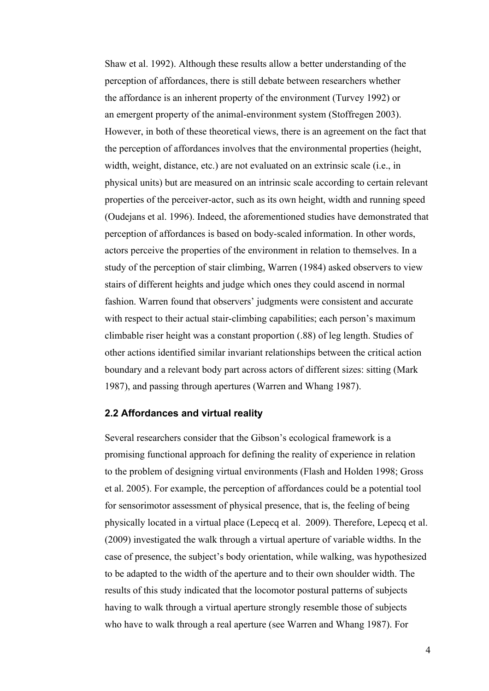Shaw et al. 1992). Although these results allow a better understanding of the perception of affordances, there is still debate between researchers whether the affordance is an inherent property of the environment (Turvey 1992) or an emergent property of the animal-environment system (Stoffregen 2003). However, in both of these theoretical views, there is an agreement on the fact that the perception of affordances involves that the environmental properties (height, width, weight, distance, etc.) are not evaluated on an extrinsic scale (i.e., in physical units) but are measured on an intrinsic scale according to certain relevant properties of the perceiver-actor, such as its own height, width and running speed (Oudejans et al. 1996). Indeed, the aforementioned studies have demonstrated that perception of affordances is based on body-scaled information. In other words, actors perceive the properties of the environment in relation to themselves. In a study of the perception of stair climbing, Warren (1984) asked observers to view stairs of different heights and judge which ones they could ascend in normal fashion. Warren found that observers' judgments were consistent and accurate with respect to their actual stair-climbing capabilities; each person's maximum climbable riser height was a constant proportion (.88) of leg length. Studies of other actions identified similar invariant relationships between the critical action boundary and a relevant body part across actors of different sizes: sitting (Mark 1987), and passing through apertures (Warren and Whang 1987).

## **2.2 Affordances and virtual reality**

Several researchers consider that the Gibson's ecological framework is a promising functional approach for defining the reality of experience in relation to the problem of designing virtual environments (Flash and Holden 1998; Gross et al. 2005). For example, the perception of affordances could be a potential tool for sensorimotor assessment of physical presence, that is, the feeling of being physically located in a virtual place (Lepecq et al. 2009). Therefore, Lepecq et al. (2009) investigated the walk through a virtual aperture of variable widths. In the case of presence, the subject's body orientation, while walking, was hypothesized to be adapted to the width of the aperture and to their own shoulder width. The results of this study indicated that the locomotor postural patterns of subjects having to walk through a virtual aperture strongly resemble those of subjects who have to walk through a real aperture (see Warren and Whang 1987). For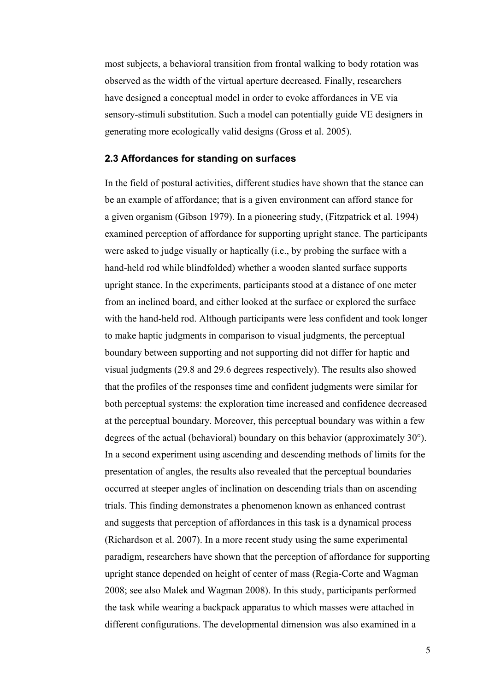most subjects, a behavioral transition from frontal walking to body rotation was observed as the width of the virtual aperture decreased. Finally, researchers have designed a conceptual model in order to evoke affordances in VE via sensory-stimuli substitution. Such a model can potentially guide VE designers in generating more ecologically valid designs (Gross et al. 2005).

## **2.3 Affordances for standing on surfaces**

In the field of postural activities, different studies have shown that the stance can be an example of affordance; that is a given environment can afford stance for a given organism (Gibson 1979). In a pioneering study, (Fitzpatrick et al. 1994) examined perception of affordance for supporting upright stance. The participants were asked to judge visually or haptically (i.e., by probing the surface with a hand-held rod while blindfolded) whether a wooden slanted surface supports upright stance. In the experiments, participants stood at a distance of one meter from an inclined board, and either looked at the surface or explored the surface with the hand-held rod. Although participants were less confident and took longer to make haptic judgments in comparison to visual judgments, the perceptual boundary between supporting and not supporting did not differ for haptic and visual judgments (29.8 and 29.6 degrees respectively). The results also showed that the profiles of the responses time and confident judgments were similar for both perceptual systems: the exploration time increased and confidence decreased at the perceptual boundary. Moreover, this perceptual boundary was within a few degrees of the actual (behavioral) boundary on this behavior (approximately 30°). In a second experiment using ascending and descending methods of limits for the presentation of angles, the results also revealed that the perceptual boundaries occurred at steeper angles of inclination on descending trials than on ascending trials. This finding demonstrates a phenomenon known as enhanced contrast and suggests that perception of affordances in this task is a dynamical process (Richardson et al. 2007). In a more recent study using the same experimental paradigm, researchers have shown that the perception of affordance for supporting upright stance depended on height of center of mass (Regia-Corte and Wagman 2008; see also Malek and Wagman 2008). In this study, participants performed the task while wearing a backpack apparatus to which masses were attached in different configurations. The developmental dimension was also examined in a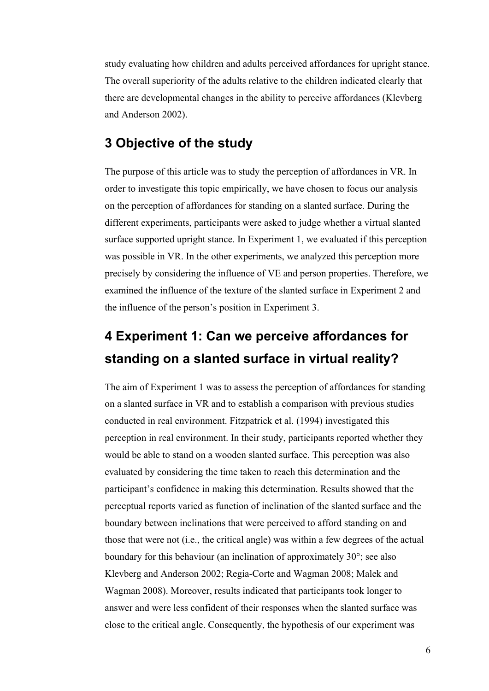study evaluating how children and adults perceived affordances for upright stance. The overall superiority of the adults relative to the children indicated clearly that there are developmental changes in the ability to perceive affordances (Klevberg and Anderson 2002).

# **3 Objective of the study**

The purpose of this article was to study the perception of affordances in VR. In order to investigate this topic empirically, we have chosen to focus our analysis on the perception of affordances for standing on a slanted surface. During the different experiments, participants were asked to judge whether a virtual slanted surface supported upright stance. In Experiment 1, we evaluated if this perception was possible in VR. In the other experiments, we analyzed this perception more precisely by considering the influence of VE and person properties. Therefore, we examined the influence of the texture of the slanted surface in Experiment 2 and the influence of the person's position in Experiment 3.

# **4 Experiment 1: Can we perceive affordances for standing on a slanted surface in virtual reality?**

The aim of Experiment 1 was to assess the perception of affordances for standing on a slanted surface in VR and to establish a comparison with previous studies conducted in real environment. Fitzpatrick et al. (1994) investigated this perception in real environment. In their study, participants reported whether they would be able to stand on a wooden slanted surface. This perception was also evaluated by considering the time taken to reach this determination and the participant's confidence in making this determination. Results showed that the perceptual reports varied as function of inclination of the slanted surface and the boundary between inclinations that were perceived to afford standing on and those that were not (i.e., the critical angle) was within a few degrees of the actual boundary for this behaviour (an inclination of approximately 30°; see also Klevberg and Anderson 2002; Regia-Corte and Wagman 2008; Malek and Wagman 2008). Moreover, results indicated that participants took longer to answer and were less confident of their responses when the slanted surface was close to the critical angle. Consequently, the hypothesis of our experiment was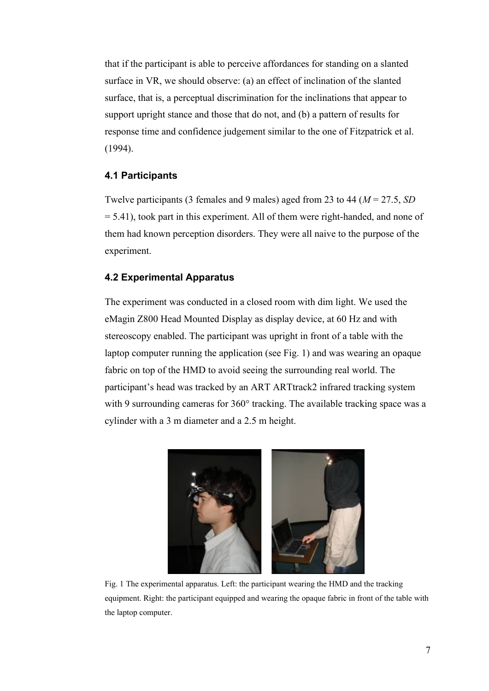that if the participant is able to perceive affordances for standing on a slanted surface in VR, we should observe: (a) an effect of inclination of the slanted surface, that is, a perceptual discrimination for the inclinations that appear to support upright stance and those that do not, and (b) a pattern of results for response time and confidence judgement similar to the one of Fitzpatrick et al. (1994).

# **4.1 Participants**

Twelve participants (3 females and 9 males) aged from 23 to 44 (*M* = 27.5, *SD* = 5.41), took part in this experiment. All of them were right-handed, and none of them had known perception disorders. They were all naive to the purpose of the experiment.

# **4.2 Experimental Apparatus**

The experiment was conducted in a closed room with dim light. We used the eMagin Z800 Head Mounted Display as display device, at 60 Hz and with stereoscopy enabled. The participant was upright in front of a table with the laptop computer running the application (see Fig. 1) and was wearing an opaque fabric on top of the HMD to avoid seeing the surrounding real world. The participant's head was tracked by an ART ARTtrack2 infrared tracking system with 9 surrounding cameras for 360° tracking. The available tracking space was a cylinder with a 3 m diameter and a 2.5 m height.



Fig. 1 The experimental apparatus. Left: the participant wearing the HMD and the tracking equipment. Right: the participant equipped and wearing the opaque fabric in front of the table with the laptop computer.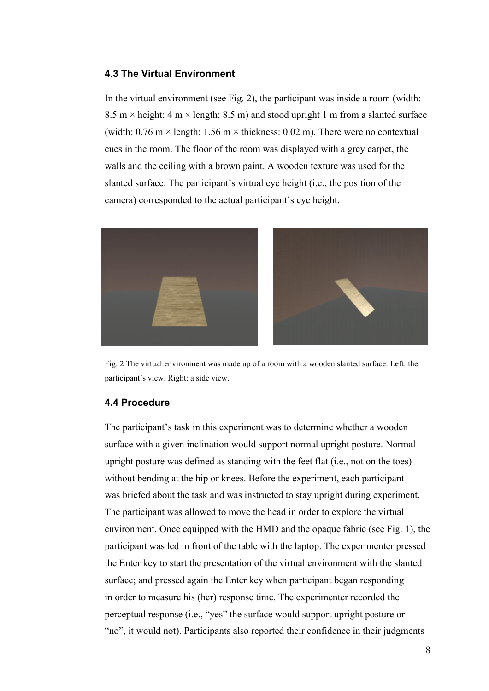## **4.3 The Virtual Environment**

In the virtual environment (see Fig. 2), the participant was inside a room (width: 8.5 m  $\times$  height: 4 m  $\times$  length: 8.5 m) and stood upright 1 m from a slanted surface (width:  $0.76$  m  $\times$  length: 1.56 m  $\times$  thickness: 0.02 m). There were no contextual cues in the room. The floor of the room was displayed with a grey carpet, the walls and the ceiling with a brown paint. A wooden texture was used for the slanted surface. The participant's virtual eye height (i.e., the position of the camera) corresponded to the actual participant's eye height.



Fig. 2 The virtual environment was made up of a room with a wooden slanted surface. Left: the participant's view. Right: a side view.

## **4.4 Procedure**

The participant's task in this experiment was to determine whether a wooden surface with a given inclination would support normal upright posture. Normal upright posture was defined as standing with the feet flat (i.e., not on the toes) without bending at the hip or knees. Before the experiment, each participant was briefed about the task and was instructed to stay upright during experiment. The participant was allowed to move the head in order to explore the virtual environment. Once equipped with the HMD and the opaque fabric (see Fig. 1), the participant was led in front of the table with the laptop. The experimenter pressed the Enter key to start the presentation of the virtual environment with the slanted surface; and pressed again the Enter key when participant began responding in order to measure his (her) response time. The experimenter recorded the perceptual response (i.e., "yes" the surface would support upright posture or "no", it would not). Participants also reported their confidence in their judgments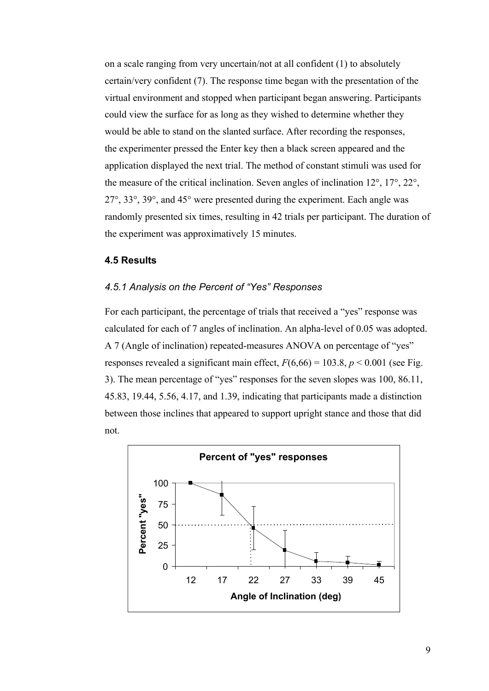on a scale ranging from very uncertain/not at all confident (1) to absolutely certain/very confident (7). The response time began with the presentation of the virtual environment and stopped when participant began answering. Participants could view the surface for as long as they wished to determine whether they would be able to stand on the slanted surface. After recording the responses, the experimenter pressed the Enter key then a black screen appeared and the application displayed the next trial. The method of constant stimuli was used for the measure of the critical inclination. Seven angles of inclination 12°, 17°, 22°, 27°, 33°, 39°, and 45° were presented during the experiment. Each angle was randomly presented six times, resulting in 42 trials per participant. The duration of the experiment was approximatively 15 minutes.

#### **4.5 Results**

### *4.5.1 Analysis on the Percent of "Yes" Responses*

For each participant, the percentage of trials that received a "yes" response was calculated for each of 7 angles of inclination. An alpha-level of 0.05 was adopted. A 7 (Angle of inclination) repeated-measures ANOVA on percentage of "yes" responses revealed a significant main effect,  $F(6,66) = 103.8$ ,  $p < 0.001$  (see Fig. 3). The mean percentage of "yes" responses for the seven slopes was 100, 86.11, 45.83, 19.44, 5.56, 4.17, and 1.39, indicating that participants made a distinction between those inclines that appeared to support upright stance and those that did not.

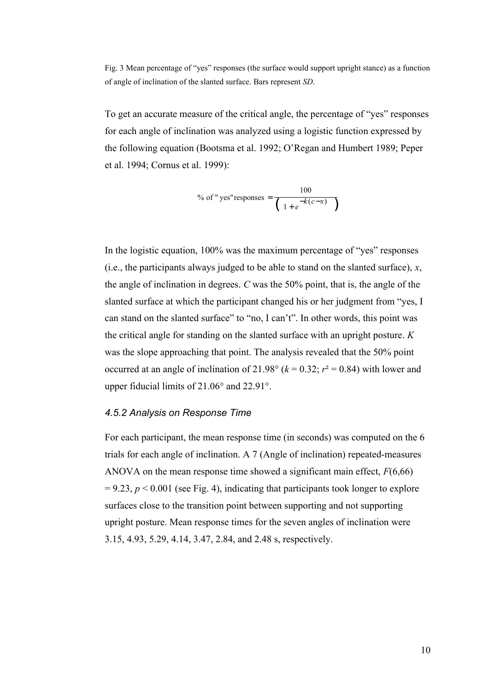Fig. 3 Mean percentage of "yes" responses (the surface would support upright stance) as a function of angle of inclination of the slanted surface. Bars represent *SD*.

To get an accurate measure of the critical angle, the percentage of "yes" responses for each angle of inclination was analyzed using a logistic function expressed by the following equation (Bootsma et al. 1992; O'Regan and Humbert 1989; Peper et al. 1994; Cornus et al. 1999):

% of " yes" responses = 
$$
\frac{100}{\left(1 + e^{-k(c-x)}\right)}
$$

In the logistic equation, 100% was the maximum percentage of "yes" responses (i.e., the participants always judged to be able to stand on the slanted surface),  $x$ , the angle of inclination in degrees. *C* was the 50% point, that is, the angle of the slanted surface at which the participant changed his or her judgment from "yes, I can stand on the slanted surface" to "no, I can't". In other words, this point was the critical angle for standing on the slanted surface with an upright posture. *K* was the slope approaching that point. The analysis revealed that the 50% point occurred at an angle of inclination of 21.98° ( $k = 0.32$ ;  $r^2 = 0.84$ ) with lower and upper fiducial limits of 21.06° and 22.91°.

#### *4.5.2 Analysis on Response Time*

For each participant, the mean response time (in seconds) was computed on the 6 trials for each angle of inclination. A 7 (Angle of inclination) repeated-measures ANOVA on the mean response time showed a significant main effect, *F*(6,66)  $= 9.23$ ,  $p < 0.001$  (see Fig. 4), indicating that participants took longer to explore surfaces close to the transition point between supporting and not supporting upright posture. Mean response times for the seven angles of inclination were 3.15, 4.93, 5.29, 4.14, 3.47, 2.84, and 2.48 s, respectively.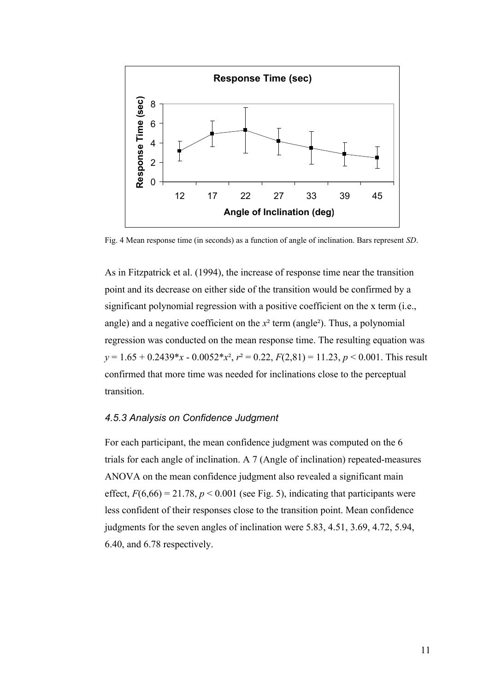

Fig. 4 Mean response time (in seconds) as a function of angle of inclination. Bars represent *SD*.

As in Fitzpatrick et al. (1994), the increase of response time near the transition point and its decrease on either side of the transition would be confirmed by a significant polynomial regression with a positive coefficient on the x term (i.e., angle) and a negative coefficient on the  $x^2$  term (angle<sup>2</sup>). Thus, a polynomial regression was conducted on the mean response time. The resulting equation was  $y = 1.65 + 0.2439*x - 0.0052*x^2$ ,  $r^2 = 0.22$ ,  $F(2,81) = 11.23$ ,  $p < 0.001$ . This result confirmed that more time was needed for inclinations close to the perceptual transition.

#### *4.5.3 Analysis on Confidence Judgment*

For each participant, the mean confidence judgment was computed on the 6 trials for each angle of inclination. A 7 (Angle of inclination) repeated-measures ANOVA on the mean confidence judgment also revealed a significant main effect,  $F(6,66) = 21.78$ ,  $p < 0.001$  (see Fig. 5), indicating that participants were less confident of their responses close to the transition point. Mean confidence judgments for the seven angles of inclination were 5.83, 4.51, 3.69, 4.72, 5.94, 6.40, and 6.78 respectively.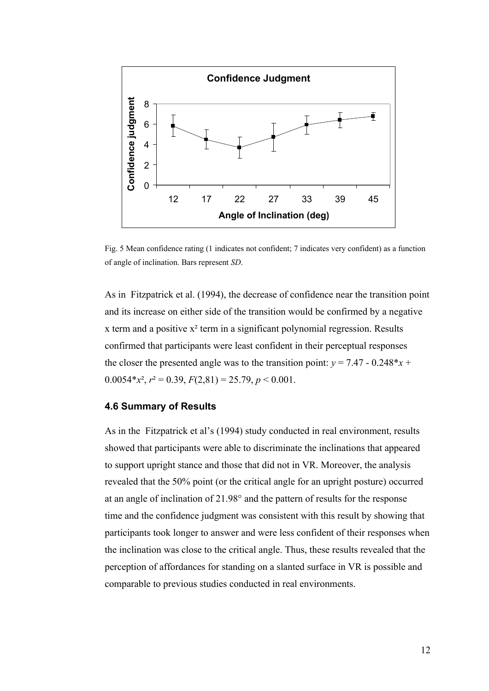

Fig. 5 Mean confidence rating (1 indicates not confident; 7 indicates very confident) as a function of angle of inclination. Bars represent *SD*.

As in Fitzpatrick et al. (1994), the decrease of confidence near the transition point and its increase on either side of the transition would be confirmed by a negative x term and a positive x² term in a significant polynomial regression. Results confirmed that participants were least confident in their perceptual responses the closer the presented angle was to the transition point:  $y = 7.47 - 0.248*x +$ 0.0054\* $x^2$ ,  $r^2 = 0.39$ ,  $F(2,81) = 25.79$ ,  $p < 0.001$ .

## **4.6 Summary of Results**

As in the Fitzpatrick et al's (1994) study conducted in real environment, results showed that participants were able to discriminate the inclinations that appeared to support upright stance and those that did not in VR. Moreover, the analysis revealed that the 50% point (or the critical angle for an upright posture) occurred at an angle of inclination of 21.98° and the pattern of results for the response time and the confidence judgment was consistent with this result by showing that participants took longer to answer and were less confident of their responses when the inclination was close to the critical angle. Thus, these results revealed that the perception of affordances for standing on a slanted surface in VR is possible and comparable to previous studies conducted in real environments.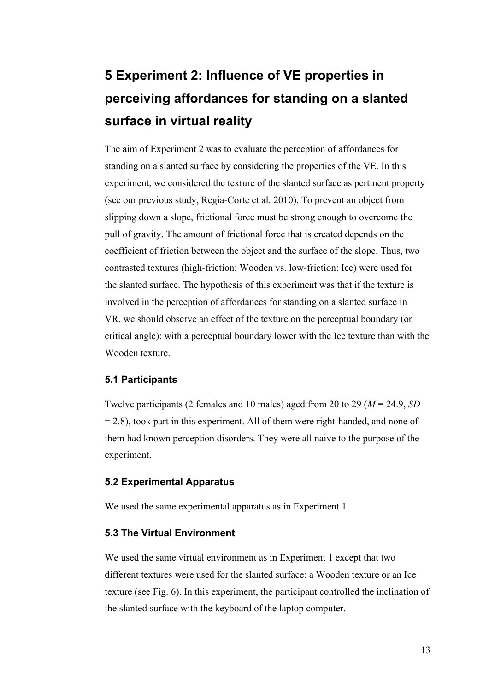# **5 Experiment 2: Influence of VE properties in perceiving affordances for standing on a slanted surface in virtual reality**

The aim of Experiment 2 was to evaluate the perception of affordances for standing on a slanted surface by considering the properties of the VE. In this experiment, we considered the texture of the slanted surface as pertinent property (see our previous study, Regia-Corte et al. 2010). To prevent an object from slipping down a slope, frictional force must be strong enough to overcome the pull of gravity. The amount of frictional force that is created depends on the coefficient of friction between the object and the surface of the slope. Thus, two contrasted textures (high-friction: Wooden vs. low-friction: Ice) were used for the slanted surface. The hypothesis of this experiment was that if the texture is involved in the perception of affordances for standing on a slanted surface in VR, we should observe an effect of the texture on the perceptual boundary (or critical angle): with a perceptual boundary lower with the Ice texture than with the Wooden texture

# **5.1 Participants**

Twelve participants (2 females and 10 males) aged from 20 to 29 (*M* = 24.9, *SD*  $= 2.8$ ), took part in this experiment. All of them were right-handed, and none of them had known perception disorders. They were all naive to the purpose of the experiment.

## **5.2 Experimental Apparatus**

We used the same experimental apparatus as in Experiment 1.

## **5.3 The Virtual Environment**

We used the same virtual environment as in Experiment 1 except that two different textures were used for the slanted surface: a Wooden texture or an Ice texture (see Fig. 6). In this experiment, the participant controlled the inclination of the slanted surface with the keyboard of the laptop computer.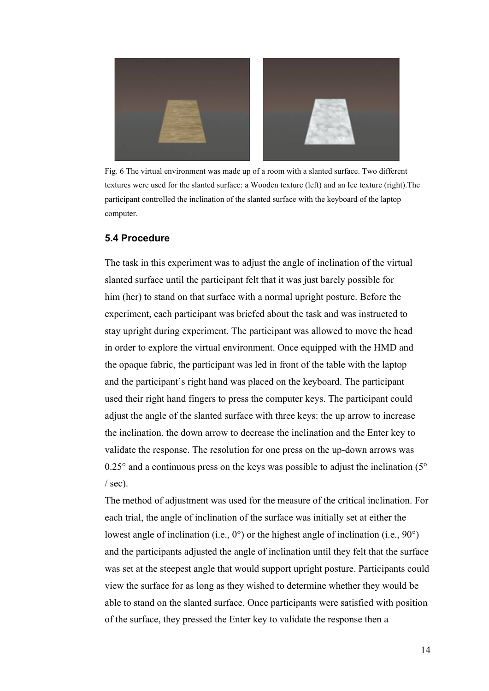

Fig. 6 The virtual environment was made up of a room with a slanted surface. Two different textures were used for the slanted surface: a Wooden texture (left) and an Ice texture (right).The participant controlled the inclination of the slanted surface with the keyboard of the laptop computer.

### **5.4 Procedure**

The task in this experiment was to adjust the angle of inclination of the virtual slanted surface until the participant felt that it was just barely possible for him (her) to stand on that surface with a normal upright posture. Before the experiment, each participant was briefed about the task and was instructed to stay upright during experiment. The participant was allowed to move the head in order to explore the virtual environment. Once equipped with the HMD and the opaque fabric, the participant was led in front of the table with the laptop and the participant's right hand was placed on the keyboard. The participant used their right hand fingers to press the computer keys. The participant could adjust the angle of the slanted surface with three keys: the up arrow to increase the inclination, the down arrow to decrease the inclination and the Enter key to validate the response. The resolution for one press on the up-down arrows was  $0.25^{\circ}$  and a continuous press on the keys was possible to adjust the inclination ( $5^{\circ}$ )  $/$  sec).

The method of adjustment was used for the measure of the critical inclination. For each trial, the angle of inclination of the surface was initially set at either the lowest angle of inclination (i.e., 0°) or the highest angle of inclination (i.e., 90°) and the participants adjusted the angle of inclination until they felt that the surface was set at the steepest angle that would support upright posture. Participants could view the surface for as long as they wished to determine whether they would be able to stand on the slanted surface. Once participants were satisfied with position of the surface, they pressed the Enter key to validate the response then a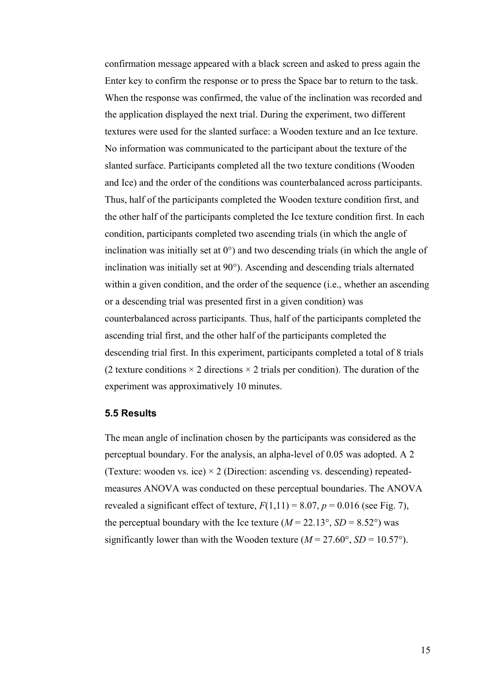confirmation message appeared with a black screen and asked to press again the Enter key to confirm the response or to press the Space bar to return to the task. When the response was confirmed, the value of the inclination was recorded and the application displayed the next trial. During the experiment, two different textures were used for the slanted surface: a Wooden texture and an Ice texture. No information was communicated to the participant about the texture of the slanted surface. Participants completed all the two texture conditions (Wooden and Ice) and the order of the conditions was counterbalanced across participants. Thus, half of the participants completed the Wooden texture condition first, and the other half of the participants completed the Ice texture condition first. In each condition, participants completed two ascending trials (in which the angle of inclination was initially set at 0°) and two descending trials (in which the angle of inclination was initially set at 90°). Ascending and descending trials alternated within a given condition, and the order of the sequence (i.e., whether an ascending or a descending trial was presented first in a given condition) was counterbalanced across participants. Thus, half of the participants completed the ascending trial first, and the other half of the participants completed the descending trial first. In this experiment, participants completed a total of 8 trials (2 texture conditions  $\times$  2 directions  $\times$  2 trials per condition). The duration of the experiment was approximatively 10 minutes.

#### **5.5 Results**

The mean angle of inclination chosen by the participants was considered as the perceptual boundary. For the analysis, an alpha-level of 0.05 was adopted. A 2 (Texture: wooden vs. ice)  $\times$  2 (Direction: ascending vs. descending) repeatedmeasures ANOVA was conducted on these perceptual boundaries. The ANOVA revealed a significant effect of texture,  $F(1,11) = 8.07$ ,  $p = 0.016$  (see Fig. 7), the perceptual boundary with the Ice texture  $(M = 22.13^{\circ}, SD = 8.52^{\circ})$  was significantly lower than with the Wooden texture  $(M = 27.60^{\circ}, SD = 10.57^{\circ})$ .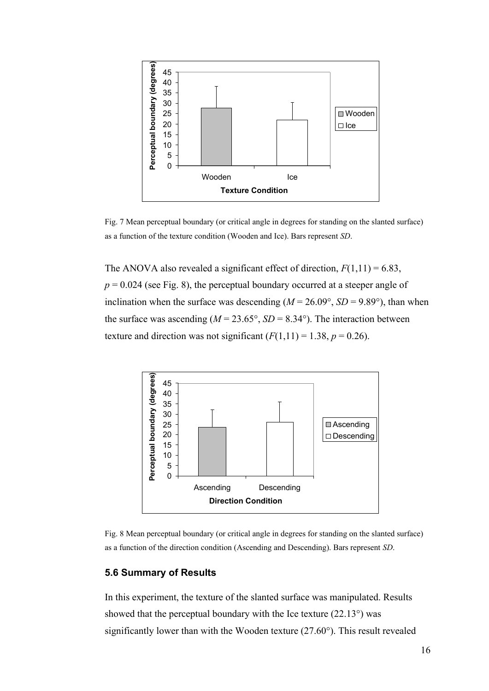

Fig. 7 Mean perceptual boundary (or critical angle in degrees for standing on the slanted surface) as a function of the texture condition (Wooden and Ice). Bars represent *SD*.

The ANOVA also revealed a significant effect of direction,  $F(1,11) = 6.83$ ,  $p = 0.024$  (see Fig. 8), the perceptual boundary occurred at a steeper angle of inclination when the surface was descending  $(M = 26.09^{\circ}, SD = 9.89^{\circ})$ , than when the surface was ascending  $(M = 23.65^{\circ}, SD = 8.34^{\circ})$ . The interaction between texture and direction was not significant  $(F(1,11) = 1.38, p = 0.26)$ .





## **5.6 Summary of Results**

In this experiment, the texture of the slanted surface was manipulated. Results showed that the perceptual boundary with the Ice texture  $(22.13^{\circ})$  was significantly lower than with the Wooden texture (27.60°). This result revealed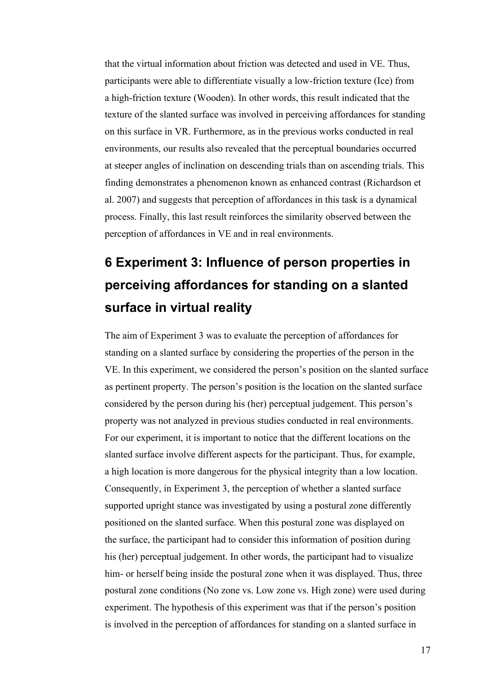that the virtual information about friction was detected and used in VE. Thus, participants were able to differentiate visually a low-friction texture (Ice) from a high-friction texture (Wooden). In other words, this result indicated that the texture of the slanted surface was involved in perceiving affordances for standing on this surface in VR. Furthermore, as in the previous works conducted in real environments, our results also revealed that the perceptual boundaries occurred at steeper angles of inclination on descending trials than on ascending trials. This finding demonstrates a phenomenon known as enhanced contrast (Richardson et al. 2007) and suggests that perception of affordances in this task is a dynamical process. Finally, this last result reinforces the similarity observed between the perception of affordances in VE and in real environments.

# **6 Experiment 3: Influence of person properties in perceiving affordances for standing on a slanted surface in virtual reality**

The aim of Experiment 3 was to evaluate the perception of affordances for standing on a slanted surface by considering the properties of the person in the VE. In this experiment, we considered the person's position on the slanted surface as pertinent property. The person's position is the location on the slanted surface considered by the person during his (her) perceptual judgement. This person's property was not analyzed in previous studies conducted in real environments. For our experiment, it is important to notice that the different locations on the slanted surface involve different aspects for the participant. Thus, for example, a high location is more dangerous for the physical integrity than a low location. Consequently, in Experiment 3, the perception of whether a slanted surface supported upright stance was investigated by using a postural zone differently positioned on the slanted surface. When this postural zone was displayed on the surface, the participant had to consider this information of position during his (her) perceptual judgement. In other words, the participant had to visualize him- or herself being inside the postural zone when it was displayed. Thus, three postural zone conditions (No zone vs. Low zone vs. High zone) were used during experiment. The hypothesis of this experiment was that if the person's position is involved in the perception of affordances for standing on a slanted surface in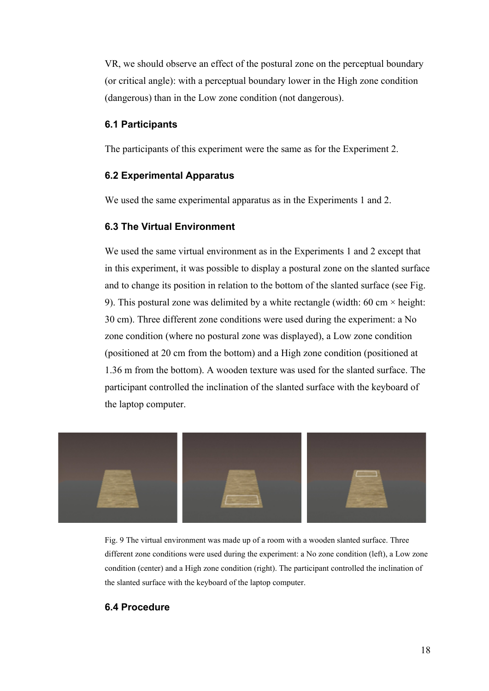VR, we should observe an effect of the postural zone on the perceptual boundary (or critical angle): with a perceptual boundary lower in the High zone condition (dangerous) than in the Low zone condition (not dangerous).

# **6.1 Participants**

The participants of this experiment were the same as for the Experiment 2.

# **6.2 Experimental Apparatus**

We used the same experimental apparatus as in the Experiments 1 and 2.

# **6.3 The Virtual Environment**

We used the same virtual environment as in the Experiments 1 and 2 except that in this experiment, it was possible to display a postural zone on the slanted surface and to change its position in relation to the bottom of the slanted surface (see Fig. 9). This postural zone was delimited by a white rectangle (width: 60 cm  $\times$  height: 30 cm). Three different zone conditions were used during the experiment: a No zone condition (where no postural zone was displayed), a Low zone condition (positioned at 20 cm from the bottom) and a High zone condition (positioned at 1.36 m from the bottom). A wooden texture was used for the slanted surface. The participant controlled the inclination of the slanted surface with the keyboard of the laptop computer.



Fig. 9 The virtual environment was made up of a room with a wooden slanted surface. Three different zone conditions were used during the experiment: a No zone condition (left), a Low zone condition (center) and a High zone condition (right). The participant controlled the inclination of the slanted surface with the keyboard of the laptop computer.

# **6.4 Procedure**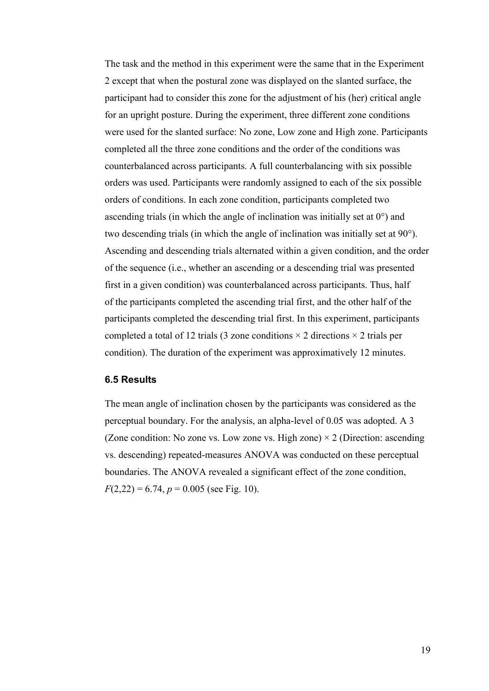The task and the method in this experiment were the same that in the Experiment 2 except that when the postural zone was displayed on the slanted surface, the participant had to consider this zone for the adjustment of his (her) critical angle for an upright posture. During the experiment, three different zone conditions were used for the slanted surface: No zone, Low zone and High zone. Participants completed all the three zone conditions and the order of the conditions was counterbalanced across participants. A full counterbalancing with six possible orders was used. Participants were randomly assigned to each of the six possible orders of conditions. In each zone condition, participants completed two ascending trials (in which the angle of inclination was initially set at 0°) and two descending trials (in which the angle of inclination was initially set at 90°). Ascending and descending trials alternated within a given condition, and the order of the sequence (i.e., whether an ascending or a descending trial was presented first in a given condition) was counterbalanced across participants. Thus, half of the participants completed the ascending trial first, and the other half of the participants completed the descending trial first. In this experiment, participants completed a total of 12 trials (3 zone conditions  $\times$  2 directions  $\times$  2 trials per condition). The duration of the experiment was approximatively 12 minutes.

## **6.5 Results**

The mean angle of inclination chosen by the participants was considered as the perceptual boundary. For the analysis, an alpha-level of 0.05 was adopted. A 3 (Zone condition: No zone vs. Low zone vs. High zone)  $\times$  2 (Direction: ascending vs. descending) repeated-measures ANOVA was conducted on these perceptual boundaries. The ANOVA revealed a significant effect of the zone condition,  $F(2,22) = 6.74, p = 0.005$  (see Fig. 10).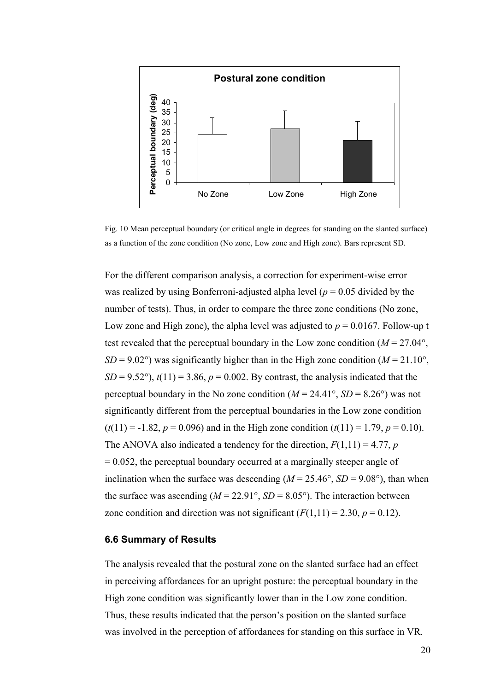

Fig. 10 Mean perceptual boundary (or critical angle in degrees for standing on the slanted surface) as a function of the zone condition (No zone, Low zone and High zone). Bars represent SD.

For the different comparison analysis, a correction for experiment-wise error was realized by using Bonferroni-adjusted alpha level ( $p = 0.05$  divided by the number of tests). Thus, in order to compare the three zone conditions (No zone, Low zone and High zone), the alpha level was adjusted to  $p = 0.0167$ . Follow-up t test revealed that the perceptual boundary in the Low zone condition  $(M = 27.04^{\circ})$ ,  $SD = 9.02^{\circ}$ ) was significantly higher than in the High zone condition ( $M = 21.10^{\circ}$ ,  $SD = 9.52^{\circ}$ ,  $t(11) = 3.86$ ,  $p = 0.002$ . By contrast, the analysis indicated that the perceptual boundary in the No zone condition  $(M = 24.41^{\circ}, SD = 8.26^{\circ})$  was not significantly different from the perceptual boundaries in the Low zone condition  $(t(11) = -1.82, p = 0.096)$  and in the High zone condition  $(t(11) = 1.79, p = 0.10)$ . The ANOVA also indicated a tendency for the direction,  $F(1,11) = 4.77$ , *p*  $= 0.052$ , the perceptual boundary occurred at a marginally steeper angle of inclination when the surface was descending  $(M = 25.46^{\circ}, SD = 9.08^{\circ})$ , than when the surface was ascending  $(M = 22.91^{\circ}, SD = 8.05^{\circ})$ . The interaction between zone condition and direction was not significant  $(F(1,11) = 2.30, p = 0.12)$ .

#### **6.6 Summary of Results**

The analysis revealed that the postural zone on the slanted surface had an effect in perceiving affordances for an upright posture: the perceptual boundary in the High zone condition was significantly lower than in the Low zone condition. Thus, these results indicated that the person's position on the slanted surface was involved in the perception of affordances for standing on this surface in VR.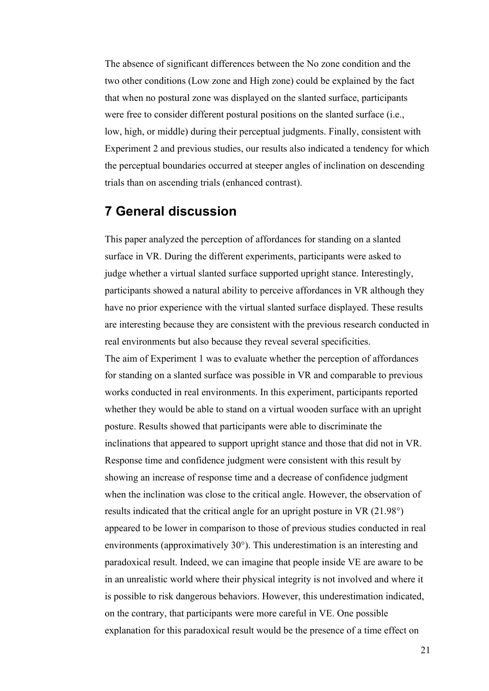The absence of significant differences between the No zone condition and the two other conditions (Low zone and High zone) could be explained by the fact that when no postural zone was displayed on the slanted surface, participants were free to consider different postural positions on the slanted surface (i.e., low, high, or middle) during their perceptual judgments. Finally, consistent with Experiment 2 and previous studies, our results also indicated a tendency for which the perceptual boundaries occurred at steeper angles of inclination on descending trials than on ascending trials (enhanced contrast).

# **7 General discussion**

This paper analyzed the perception of affordances for standing on a slanted surface in VR. During the different experiments, participants were asked to judge whether a virtual slanted surface supported upright stance. Interestingly, participants showed a natural ability to perceive affordances in VR although they have no prior experience with the virtual slanted surface displayed. These results are interesting because they are consistent with the previous research conducted in real environments but also because they reveal several specificities. The aim of Experiment 1 was to evaluate whether the perception of affordances for standing on a slanted surface was possible in VR and comparable to previous works conducted in real environments. In this experiment, participants reported whether they would be able to stand on a virtual wooden surface with an upright posture. Results showed that participants were able to discriminate the inclinations that appeared to support upright stance and those that did not in VR. Response time and confidence judgment were consistent with this result by showing an increase of response time and a decrease of confidence judgment when the inclination was close to the critical angle. However, the observation of results indicated that the critical angle for an upright posture in VR (21.98°) appeared to be lower in comparison to those of previous studies conducted in real

environments (approximatively 30°). This underestimation is an interesting and paradoxical result. Indeed, we can imagine that people inside VE are aware to be in an unrealistic world where their physical integrity is not involved and where it is possible to risk dangerous behaviors. However, this underestimation indicated, on the contrary, that participants were more careful in VE. One possible explanation for this paradoxical result would be the presence of a time effect on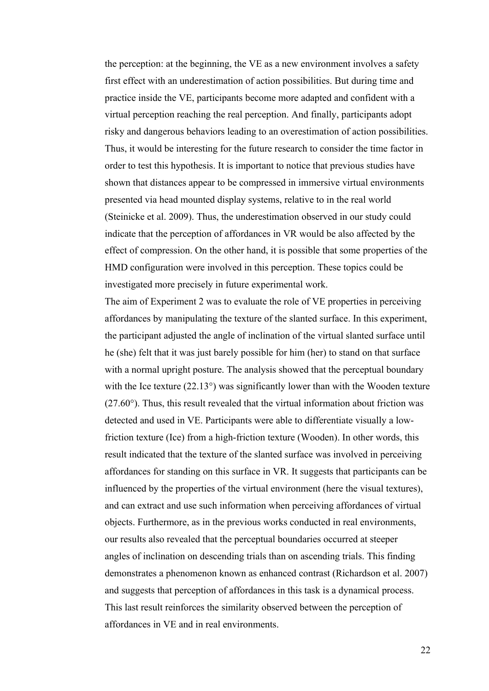the perception: at the beginning, the VE as a new environment involves a safety first effect with an underestimation of action possibilities. But during time and practice inside the VE, participants become more adapted and confident with a virtual perception reaching the real perception. And finally, participants adopt risky and dangerous behaviors leading to an overestimation of action possibilities. Thus, it would be interesting for the future research to consider the time factor in order to test this hypothesis. It is important to notice that previous studies have shown that distances appear to be compressed in immersive virtual environments presented via head mounted display systems, relative to in the real world (Steinicke et al. 2009). Thus, the underestimation observed in our study could indicate that the perception of affordances in VR would be also affected by the effect of compression. On the other hand, it is possible that some properties of the HMD configuration were involved in this perception. These topics could be investigated more precisely in future experimental work.

The aim of Experiment 2 was to evaluate the role of VE properties in perceiving affordances by manipulating the texture of the slanted surface. In this experiment, the participant adjusted the angle of inclination of the virtual slanted surface until he (she) felt that it was just barely possible for him (her) to stand on that surface with a normal upright posture. The analysis showed that the perceptual boundary with the Ice texture (22.13°) was significantly lower than with the Wooden texture (27.60°). Thus, this result revealed that the virtual information about friction was detected and used in VE. Participants were able to differentiate visually a lowfriction texture (Ice) from a high-friction texture (Wooden). In other words, this result indicated that the texture of the slanted surface was involved in perceiving affordances for standing on this surface in VR. It suggests that participants can be influenced by the properties of the virtual environment (here the visual textures), and can extract and use such information when perceiving affordances of virtual objects. Furthermore, as in the previous works conducted in real environments, our results also revealed that the perceptual boundaries occurred at steeper angles of inclination on descending trials than on ascending trials. This finding demonstrates a phenomenon known as enhanced contrast (Richardson et al. 2007) and suggests that perception of affordances in this task is a dynamical process. This last result reinforces the similarity observed between the perception of affordances in VE and in real environments.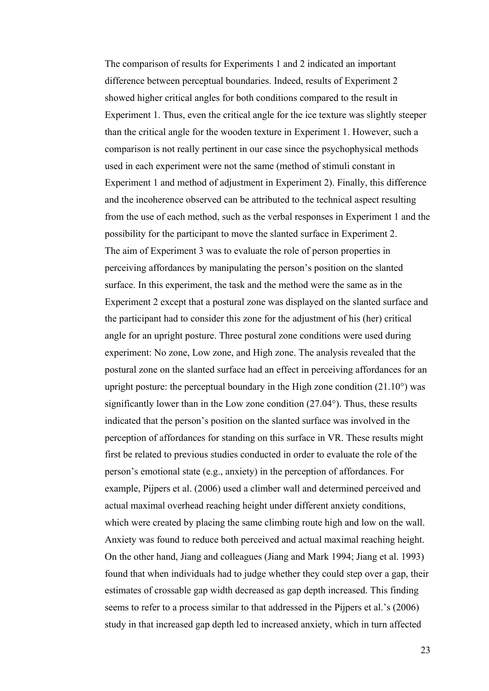The comparison of results for Experiments 1 and 2 indicated an important difference between perceptual boundaries. Indeed, results of Experiment 2 showed higher critical angles for both conditions compared to the result in Experiment 1. Thus, even the critical angle for the ice texture was slightly steeper than the critical angle for the wooden texture in Experiment 1. However, such a comparison is not really pertinent in our case since the psychophysical methods used in each experiment were not the same (method of stimuli constant in Experiment 1 and method of adjustment in Experiment 2). Finally, this difference and the incoherence observed can be attributed to the technical aspect resulting from the use of each method, such as the verbal responses in Experiment 1 and the possibility for the participant to move the slanted surface in Experiment 2. The aim of Experiment 3 was to evaluate the role of person properties in perceiving affordances by manipulating the person's position on the slanted surface. In this experiment, the task and the method were the same as in the Experiment 2 except that a postural zone was displayed on the slanted surface and the participant had to consider this zone for the adjustment of his (her) critical angle for an upright posture. Three postural zone conditions were used during experiment: No zone, Low zone, and High zone. The analysis revealed that the postural zone on the slanted surface had an effect in perceiving affordances for an upright posture: the perceptual boundary in the High zone condition  $(21.10^{\circ})$  was significantly lower than in the Low zone condition (27.04°). Thus, these results indicated that the person's position on the slanted surface was involved in the perception of affordances for standing on this surface in VR. These results might first be related to previous studies conducted in order to evaluate the role of the person's emotional state (e.g., anxiety) in the perception of affordances. For example, Pijpers et al. (2006) used a climber wall and determined perceived and actual maximal overhead reaching height under different anxiety conditions, which were created by placing the same climbing route high and low on the wall. Anxiety was found to reduce both perceived and actual maximal reaching height. On the other hand, Jiang and colleagues (Jiang and Mark 1994; Jiang et al. 1993) found that when individuals had to judge whether they could step over a gap, their estimates of crossable gap width decreased as gap depth increased. This finding seems to refer to a process similar to that addressed in the Pijpers et al.'s (2006) study in that increased gap depth led to increased anxiety, which in turn affected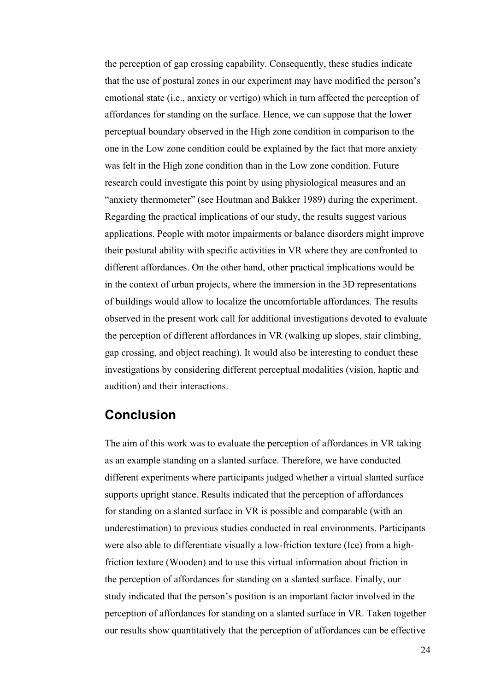the perception of gap crossing capability. Consequently, these studies indicate that the use of postural zones in our experiment may have modified the person's emotional state (i.e., anxiety or vertigo) which in turn affected the perception of affordances for standing on the surface. Hence, we can suppose that the lower perceptual boundary observed in the High zone condition in comparison to the one in the Low zone condition could be explained by the fact that more anxiety was felt in the High zone condition than in the Low zone condition. Future research could investigate this point by using physiological measures and an "anxiety thermometer" (see Houtman and Bakker 1989) during the experiment. Regarding the practical implications of our study, the results suggest various applications. People with motor impairments or balance disorders might improve their postural ability with specific activities in VR where they are confronted to different affordances. On the other hand, other practical implications would be in the context of urban projects, where the immersion in the 3D representations of buildings would allow to localize the uncomfortable affordances. The results observed in the present work call for additional investigations devoted to evaluate the perception of different affordances in VR (walking up slopes, stair climbing, gap crossing, and object reaching). It would also be interesting to conduct these investigations by considering different perceptual modalities (vision, haptic and audition) and their interactions.

# **Conclusion**

The aim of this work was to evaluate the perception of affordances in VR taking as an example standing on a slanted surface. Therefore, we have conducted different experiments where participants judged whether a virtual slanted surface supports upright stance. Results indicated that the perception of affordances for standing on a slanted surface in VR is possible and comparable (with an underestimation) to previous studies conducted in real environments. Participants were also able to differentiate visually a low-friction texture (Ice) from a highfriction texture (Wooden) and to use this virtual information about friction in the perception of affordances for standing on a slanted surface. Finally, our study indicated that the person's position is an important factor involved in the perception of affordances for standing on a slanted surface in VR. Taken together our results show quantitatively that the perception of affordances can be effective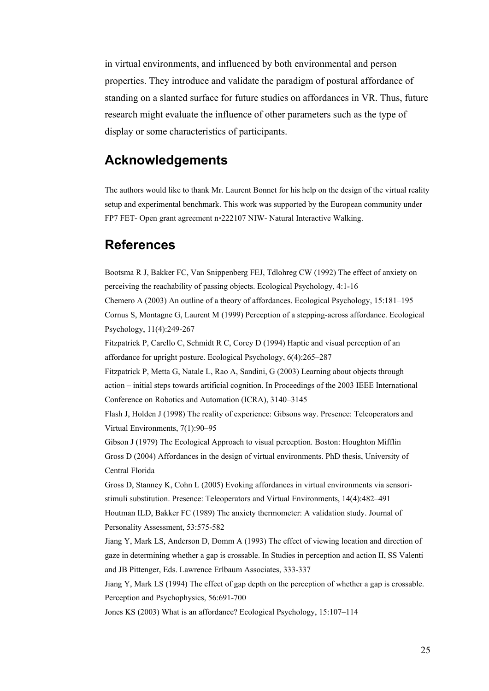in virtual environments, and influenced by both environmental and person properties. They introduce and validate the paradigm of postural affordance of standing on a slanted surface for future studies on affordances in VR. Thus, future research might evaluate the influence of other parameters such as the type of display or some characteristics of participants.

# **Acknowledgements**

The authors would like to thank Mr. Laurent Bonnet for his help on the design of the virtual reality setup and experimental benchmark. This work was supported by the European community under FP7 FET- Open grant agreement n◦222107 NIW- Natural Interactive Walking.

# **References**

Bootsma R J, Bakker FC, Van Snippenberg FEJ, Tdlohreg CW (1992) The effect of anxiety on perceiving the reachability of passing objects. Ecological Psychology, 4:1-16 Chemero A (2003) An outline of a theory of affordances. Ecological Psychology, 15:181–195 Cornus S, Montagne G, Laurent M (1999) Perception of a stepping-across affordance. Ecological Psychology, 11(4):249-267

Fitzpatrick P, Carello C, Schmidt R C, Corey D (1994) Haptic and visual perception of an affordance for upright posture. Ecological Psychology, 6(4):265–287

Fitzpatrick P, Metta G, Natale L, Rao A, Sandini, G (2003) Learning about objects through action – initial steps towards artificial cognition. In Proceedings of the 2003 IEEE International Conference on Robotics and Automation (ICRA), 3140–3145

Flash J, Holden J (1998) The reality of experience: Gibsons way. Presence: Teleoperators and Virtual Environments, 7(1):90–95

Gibson J (1979) The Ecological Approach to visual perception. Boston: Houghton Mifflin Gross D (2004) Affordances in the design of virtual environments. PhD thesis, University of Central Florida

Gross D, Stanney K, Cohn L (2005) Evoking affordances in virtual environments via sensoristimuli substitution. Presence: Teleoperators and Virtual Environments, 14(4):482–491

Houtman ILD, Bakker FC (1989) The anxiety thermometer: A validation study. Journal of Personality Assessment, 53:575-582

Jiang Y, Mark LS, Anderson D, Domm A (1993) The effect of viewing location and direction of gaze in determining whether a gap is crossable. In Studies in perception and action II, SS Valenti and JB Pittenger, Eds. Lawrence Erlbaum Associates, 333-337

Jiang Y, Mark LS (1994) The effect of gap depth on the perception of whether a gap is crossable. Perception and Psychophysics, 56:691-700

Jones KS (2003) What is an affordance? Ecological Psychology, 15:107–114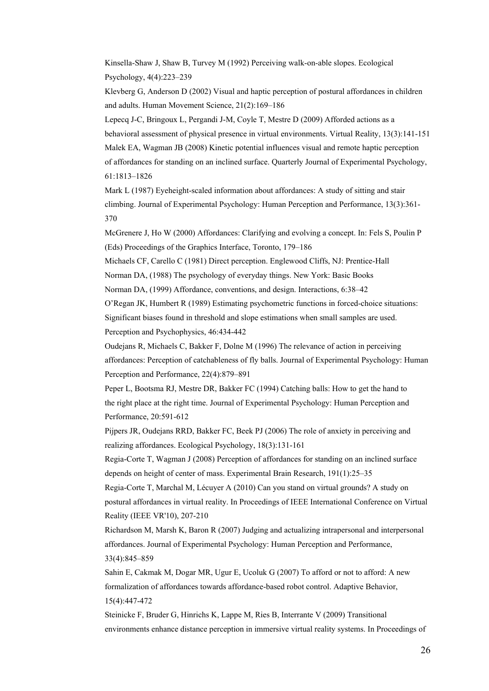Kinsella-Shaw J, Shaw B, Turvey M (1992) Perceiving walk-on-able slopes. Ecological Psychology, 4(4):223–239

Klevberg G, Anderson D (2002) Visual and haptic perception of postural affordances in children and adults. Human Movement Science, 21(2):169–186

Lepecq J-C, Bringoux L, Pergandi J-M, Coyle T, Mestre D (2009) Afforded actions as a behavioral assessment of physical presence in virtual environments. Virtual Reality, 13(3):141-151 Malek EA, Wagman JB (2008) Kinetic potential influences visual and remote haptic perception of affordances for standing on an inclined surface. Quarterly Journal of Experimental Psychology, 61:1813–1826

Mark L (1987) Eyeheight-scaled information about affordances: A study of sitting and stair climbing. Journal of Experimental Psychology: Human Perception and Performance, 13(3):361- 370

McGrenere J, Ho W (2000) Affordances: Clarifying and evolving a concept. In: Fels S, Poulin P (Eds) Proceedings of the Graphics Interface, Toronto, 179–186

Michaels CF, Carello C (1981) Direct perception. Englewood Cliffs, NJ: Prentice-Hall

Norman DA, (1988) The psychology of everyday things. New York: Basic Books

Norman DA, (1999) Affordance, conventions, and design. Interactions, 6:38–42

O'Regan JK, Humbert R (1989) Estimating psychometric functions in forced-choice situations:

Significant biases found in threshold and slope estimations when small samples are used. Perception and Psychophysics, 46:434-442

Oudejans R, Michaels C, Bakker F, Dolne M (1996) The relevance of action in perceiving affordances: Perception of catchableness of fly balls. Journal of Experimental Psychology: Human Perception and Performance, 22(4):879–891

Peper L, Bootsma RJ, Mestre DR, Bakker FC (1994) Catching balls: How to get the hand to the right place at the right time. Journal of Experimental Psychology: Human Perception and Performance, 20:591-612

Pijpers JR, Oudejans RRD, Bakker FC, Beek PJ (2006) The role of anxiety in perceiving and realizing affordances. Ecological Psychology, 18(3):131-161

Regia-Corte T, Wagman J (2008) Perception of affordances for standing on an inclined surface depends on height of center of mass. Experimental Brain Research, 191(1):25–35

Regia-Corte T, Marchal M, Lécuyer A (2010) Can you stand on virtual grounds? A study on postural affordances in virtual reality. In Proceedings of IEEE International Conference on Virtual Reality (IEEE VR'10), 207-210

Richardson M, Marsh K, Baron R (2007) Judging and actualizing intrapersonal and interpersonal affordances. Journal of Experimental Psychology: Human Perception and Performance, 33(4):845–859

Sahin E, Cakmak M, Dogar MR, Ugur E, Ucoluk G (2007) To afford or not to afford: A new formalization of affordances towards affordance-based robot control. Adaptive Behavior, 15(4):447-472

Steinicke F, Bruder G, Hinrichs K, Lappe M, Ries B, Interrante V (2009) Transitional environments enhance distance perception in immersive virtual reality systems. In Proceedings of